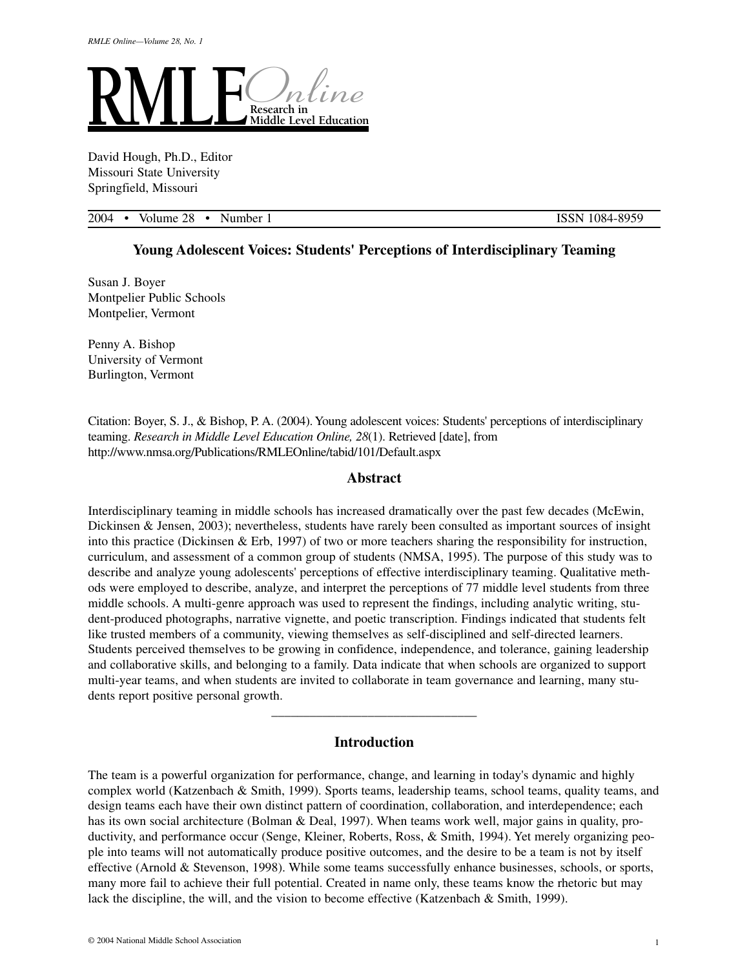

David Hough, Ph.D., Editor Missouri State University Springfield, Missouri

2004 • Volume 28 • Number 1 ISSN 1084-8959

# **Young Adolescent Voices: Students' Perceptions of Interdisciplinary Teaming**

Susan J. Boyer Montpelier Public Schools Montpelier, Vermont

Penny A. Bishop University of Vermont Burlington, Vermont

Citation: Boyer, S. J., & Bishop, P. A. (2004). Young adolescent voices: Students' perceptions of interdisciplinary teaming. *Research in Middle Level Education Online, 28*(1). Retrieved [date], from http://www.nmsa.org/Publications/RMLEOnline/tabid/101/Default.aspx

### **Abstract**

Interdisciplinary teaming in middle schools has increased dramatically over the past few decades (McEwin, Dickinsen & Jensen, 2003); nevertheless, students have rarely been consulted as important sources of insight into this practice (Dickinsen & Erb, 1997) of two or more teachers sharing the responsibility for instruction, curriculum, and assessment of a common group of students (NMSA, 1995). The purpose of this study was to describe and analyze young adolescents' perceptions of effective interdisciplinary teaming. Qualitative methods were employed to describe, analyze, and interpret the perceptions of 77 middle level students from three middle schools. A multi-genre approach was used to represent the findings, including analytic writing, student-produced photographs, narrative vignette, and poetic transcription. Findings indicated that students felt like trusted members of a community, viewing themselves as self-disciplined and self-directed learners. Students perceived themselves to be growing in confidence, independence, and tolerance, gaining leadership and collaborative skills, and belonging to a family. Data indicate that when schools are organized to support multi-year teams, and when students are invited to collaborate in team governance and learning, many students report positive personal growth.

# **Introduction**

 $\overline{\phantom{a}}$  , and the set of the set of the set of the set of the set of the set of the set of the set of the set of the set of the set of the set of the set of the set of the set of the set of the set of the set of the s

The team is a powerful organization for performance, change, and learning in today's dynamic and highly complex world (Katzenbach & Smith, 1999). Sports teams, leadership teams, school teams, quality teams, and design teams each have their own distinct pattern of coordination, collaboration, and interdependence; each has its own social architecture (Bolman & Deal, 1997). When teams work well, major gains in quality, productivity, and performance occur (Senge, Kleiner, Roberts, Ross, & Smith, 1994). Yet merely organizing people into teams will not automatically produce positive outcomes, and the desire to be a team is not by itself effective (Arnold & Stevenson, 1998). While some teams successfully enhance businesses, schools, or sports, many more fail to achieve their full potential. Created in name only, these teams know the rhetoric but may lack the discipline, the will, and the vision to become effective (Katzenbach & Smith, 1999).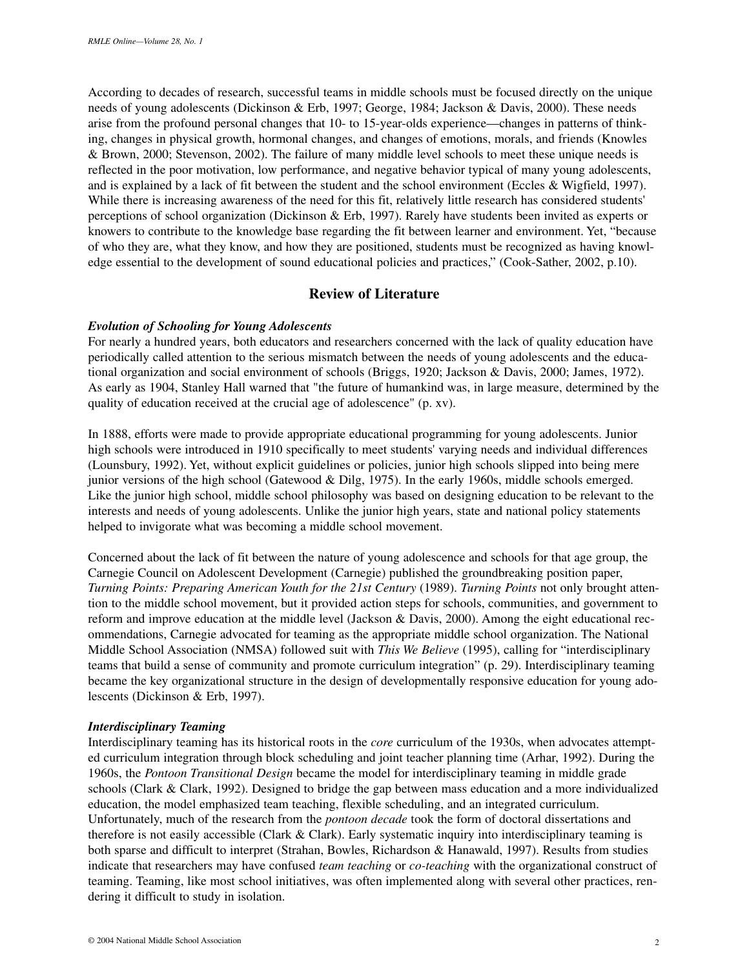According to decades of research, successful teams in middle schools must be focused directly on the unique needs of young adolescents (Dickinson & Erb, 1997; George, 1984; Jackson & Davis, 2000). These needs arise from the profound personal changes that 10- to 15-year-olds experience—changes in patterns of thinking, changes in physical growth, hormonal changes, and changes of emotions, morals, and friends (Knowles & Brown, 2000; Stevenson, 2002). The failure of many middle level schools to meet these unique needs is reflected in the poor motivation, low performance, and negative behavior typical of many young adolescents, and is explained by a lack of fit between the student and the school environment (Eccles & Wigfield, 1997). While there is increasing awareness of the need for this fit, relatively little research has considered students' perceptions of school organization (Dickinson & Erb, 1997). Rarely have students been invited as experts or knowers to contribute to the knowledge base regarding the fit between learner and environment. Yet, "because of who they are, what they know, and how they are positioned, students must be recognized as having knowledge essential to the development of sound educational policies and practices," (Cook-Sather, 2002, p.10).

# **Review of Literature**

## *Evolution of Schooling for Young Adolescents*

For nearly a hundred years, both educators and researchers concerned with the lack of quality education have periodically called attention to the serious mismatch between the needs of young adolescents and the educational organization and social environment of schools (Briggs, 1920; Jackson & Davis, 2000; James, 1972). As early as 1904, Stanley Hall warned that "the future of humankind was, in large measure, determined by the quality of education received at the crucial age of adolescence" (p. xv).

In 1888, efforts were made to provide appropriate educational programming for young adolescents. Junior high schools were introduced in 1910 specifically to meet students' varying needs and individual differences (Lounsbury, 1992). Yet, without explicit guidelines or policies, junior high schools slipped into being mere junior versions of the high school (Gatewood & Dilg, 1975). In the early 1960s, middle schools emerged. Like the junior high school, middle school philosophy was based on designing education to be relevant to the interests and needs of young adolescents. Unlike the junior high years, state and national policy statements helped to invigorate what was becoming a middle school movement.

Concerned about the lack of fit between the nature of young adolescence and schools for that age group, the Carnegie Council on Adolescent Development (Carnegie) published the groundbreaking position paper, *Turning Points: Preparing American Youth for the 21st Century* (1989). *Turning Points* not only brought attention to the middle school movement, but it provided action steps for schools, communities, and government to reform and improve education at the middle level (Jackson & Davis, 2000). Among the eight educational recommendations, Carnegie advocated for teaming as the appropriate middle school organization. The National Middle School Association (NMSA) followed suit with *This We Believe* (1995), calling for "interdisciplinary teams that build a sense of community and promote curriculum integration" (p. 29). Interdisciplinary teaming became the key organizational structure in the design of developmentally responsive education for young adolescents (Dickinson & Erb, 1997).

#### *Interdisciplinary Teaming*

Interdisciplinary teaming has its historical roots in the *core* curriculum of the 1930s, when advocates attempted curriculum integration through block scheduling and joint teacher planning time (Arhar, 1992). During the 1960s, the *Pontoon Transitional Design* became the model for interdisciplinary teaming in middle grade schools (Clark & Clark, 1992). Designed to bridge the gap between mass education and a more individualized education, the model emphasized team teaching, flexible scheduling, and an integrated curriculum. Unfortunately, much of the research from the *pontoon decade* took the form of doctoral dissertations and therefore is not easily accessible (Clark & Clark). Early systematic inquiry into interdisciplinary teaming is both sparse and difficult to interpret (Strahan, Bowles, Richardson & Hanawald, 1997). Results from studies indicate that researchers may have confused *team teaching* or *co-teaching* with the organizational construct of teaming. Teaming, like most school initiatives, was often implemented along with several other practices, rendering it difficult to study in isolation.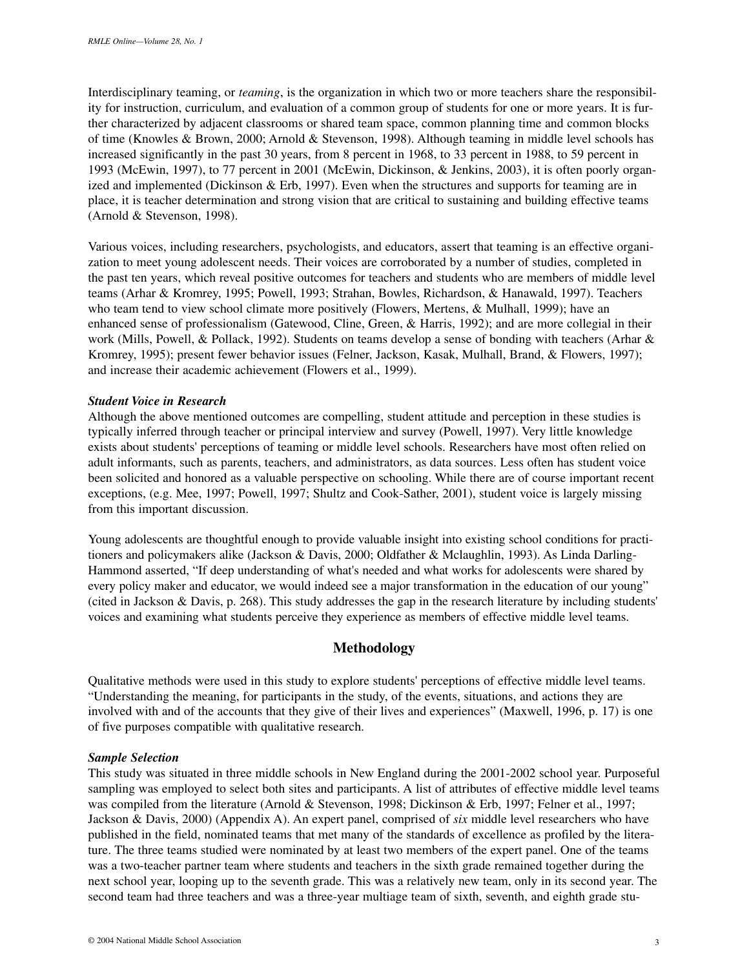Interdisciplinary teaming, or *teaming*, is the organization in which two or more teachers share the responsibility for instruction, curriculum, and evaluation of a common group of students for one or more years. It is further characterized by adjacent classrooms or shared team space, common planning time and common blocks of time (Knowles & Brown, 2000; Arnold & Stevenson, 1998). Although teaming in middle level schools has increased significantly in the past 30 years, from 8 percent in 1968, to 33 percent in 1988, to 59 percent in 1993 (McEwin, 1997), to 77 percent in 2001 (McEwin, Dickinson, & Jenkins, 2003), it is often poorly organized and implemented (Dickinson & Erb, 1997). Even when the structures and supports for teaming are in place, it is teacher determination and strong vision that are critical to sustaining and building effective teams (Arnold & Stevenson, 1998).

Various voices, including researchers, psychologists, and educators, assert that teaming is an effective organization to meet young adolescent needs. Their voices are corroborated by a number of studies, completed in the past ten years, which reveal positive outcomes for teachers and students who are members of middle level teams (Arhar & Kromrey, 1995; Powell, 1993; Strahan, Bowles, Richardson, & Hanawald, 1997). Teachers who team tend to view school climate more positively (Flowers, Mertens, & Mulhall, 1999); have an enhanced sense of professionalism (Gatewood, Cline, Green, & Harris, 1992); and are more collegial in their work (Mills, Powell, & Pollack, 1992). Students on teams develop a sense of bonding with teachers (Arhar & Kromrey, 1995); present fewer behavior issues (Felner, Jackson, Kasak, Mulhall, Brand, & Flowers, 1997); and increase their academic achievement (Flowers et al., 1999).

#### *Student Voice in Research*

Although the above mentioned outcomes are compelling, student attitude and perception in these studies is typically inferred through teacher or principal interview and survey (Powell, 1997). Very little knowledge exists about students' perceptions of teaming or middle level schools. Researchers have most often relied on adult informants, such as parents, teachers, and administrators, as data sources. Less often has student voice been solicited and honored as a valuable perspective on schooling. While there are of course important recent exceptions, (e.g. Mee, 1997; Powell, 1997; Shultz and Cook-Sather, 2001), student voice is largely missing from this important discussion.

Young adolescents are thoughtful enough to provide valuable insight into existing school conditions for practitioners and policymakers alike (Jackson & Davis, 2000; Oldfather & Mclaughlin, 1993). As Linda Darling-Hammond asserted, "If deep understanding of what's needed and what works for adolescents were shared by every policy maker and educator, we would indeed see a major transformation in the education of our young" (cited in Jackson & Davis, p. 268). This study addresses the gap in the research literature by including students' voices and examining what students perceive they experience as members of effective middle level teams.

### **Methodology**

Qualitative methods were used in this study to explore students' perceptions of effective middle level teams. "Understanding the meaning, for participants in the study, of the events, situations, and actions they are involved with and of the accounts that they give of their lives and experiences" (Maxwell, 1996, p. 17) is one of five purposes compatible with qualitative research.

#### *Sample Selection*

This study was situated in three middle schools in New England during the 2001-2002 school year. Purposeful sampling was employed to select both sites and participants. A list of attributes of effective middle level teams was compiled from the literature (Arnold & Stevenson, 1998; Dickinson & Erb, 1997; Felner et al., 1997; Jackson & Davis, 2000) (Appendix A). An expert panel, comprised of *six* middle level researchers who have published in the field, nominated teams that met many of the standards of excellence as profiled by the literature. The three teams studied were nominated by at least two members of the expert panel. One of the teams was a two-teacher partner team where students and teachers in the sixth grade remained together during the next school year, looping up to the seventh grade. This was a relatively new team, only in its second year. The second team had three teachers and was a three-year multiage team of sixth, seventh, and eighth grade stu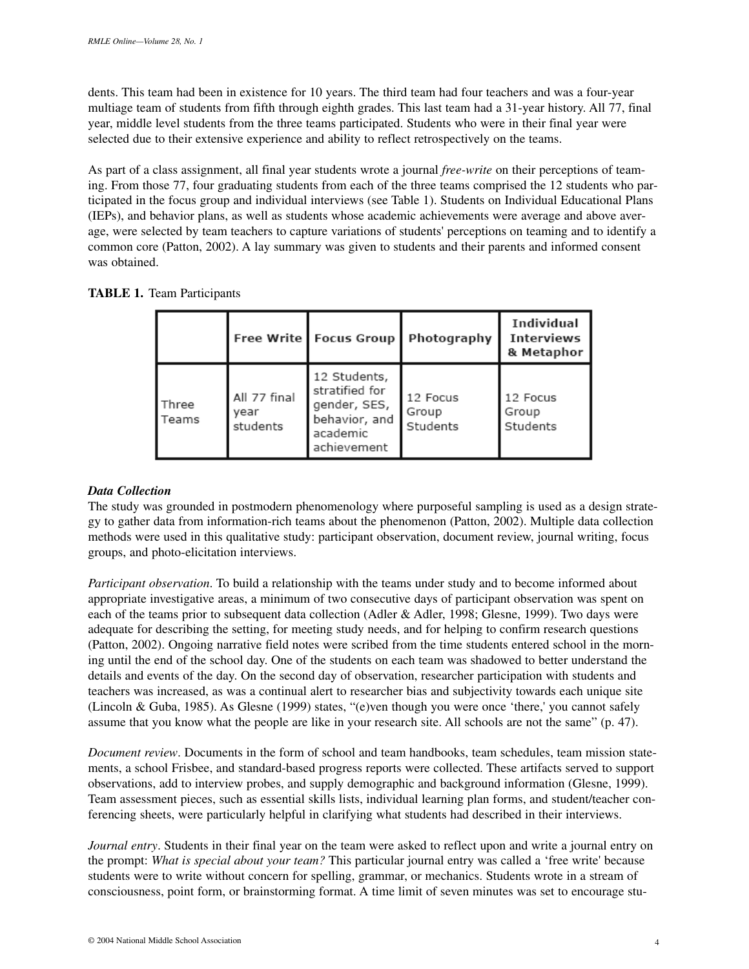dents. This team had been in existence for 10 years. The third team had four teachers and was a four-year multiage team of students from fifth through eighth grades. This last team had a 31-year history. All 77, final year, middle level students from the three teams participated. Students who were in their final year were selected due to their extensive experience and ability to reflect retrospectively on the teams.

As part of a class assignment, all final year students wrote a journal *free-write* on their perceptions of teaming. From those 77, four graduating students from each of the three teams comprised the 12 students who participated in the focus group and individual interviews (see Table 1). Students on Individual Educational Plans (IEPs), and behavior plans, as well as students whose academic achievements were average and above average, were selected by team teachers to capture variations of students' perceptions on teaming and to identify a common core (Patton, 2002). A lay summary was given to students and their parents and informed consent was obtained.

|  |  | <b>TABLE 1. Team Participants</b> |
|--|--|-----------------------------------|
|--|--|-----------------------------------|

|                         |                                  | Free Write   Focus Group                                                                   | Photography                   | Individual<br><b>Interviews</b><br>& Metaphor |
|-------------------------|----------------------------------|--------------------------------------------------------------------------------------------|-------------------------------|-----------------------------------------------|
| <b>Three</b><br>l Teams | All 77 final<br>vear<br>students | 12 Students,<br>stratified for<br>gender, SES,<br>behavior, and<br>academic<br>achievement | 12 Focus<br>Group<br>Students | 12 Focus<br>Group<br>Students                 |

## *Data Collection*

The study was grounded in postmodern phenomenology where purposeful sampling is used as a design strategy to gather data from information-rich teams about the phenomenon (Patton, 2002). Multiple data collection methods were used in this qualitative study: participant observation, document review, journal writing, focus groups, and photo-elicitation interviews.

*Participant observation*. To build a relationship with the teams under study and to become informed about appropriate investigative areas, a minimum of two consecutive days of participant observation was spent on each of the teams prior to subsequent data collection (Adler & Adler, 1998; Glesne, 1999). Two days were adequate for describing the setting, for meeting study needs, and for helping to confirm research questions (Patton, 2002). Ongoing narrative field notes were scribed from the time students entered school in the morning until the end of the school day. One of the students on each team was shadowed to better understand the details and events of the day. On the second day of observation, researcher participation with students and teachers was increased, as was a continual alert to researcher bias and subjectivity towards each unique site (Lincoln & Guba, 1985). As Glesne (1999) states, "(e)ven though you were once 'there,' you cannot safely assume that you know what the people are like in your research site. All schools are not the same" (p. 47).

*Document review*. Documents in the form of school and team handbooks, team schedules, team mission statements, a school Frisbee, and standard-based progress reports were collected. These artifacts served to support observations, add to interview probes, and supply demographic and background information (Glesne, 1999). Team assessment pieces, such as essential skills lists, individual learning plan forms, and student/teacher conferencing sheets, were particularly helpful in clarifying what students had described in their interviews.

*Journal entry*. Students in their final year on the team were asked to reflect upon and write a journal entry on the prompt: *What is special about your team?* This particular journal entry was called a 'free write' because students were to write without concern for spelling, grammar, or mechanics. Students wrote in a stream of consciousness, point form, or brainstorming format. A time limit of seven minutes was set to encourage stu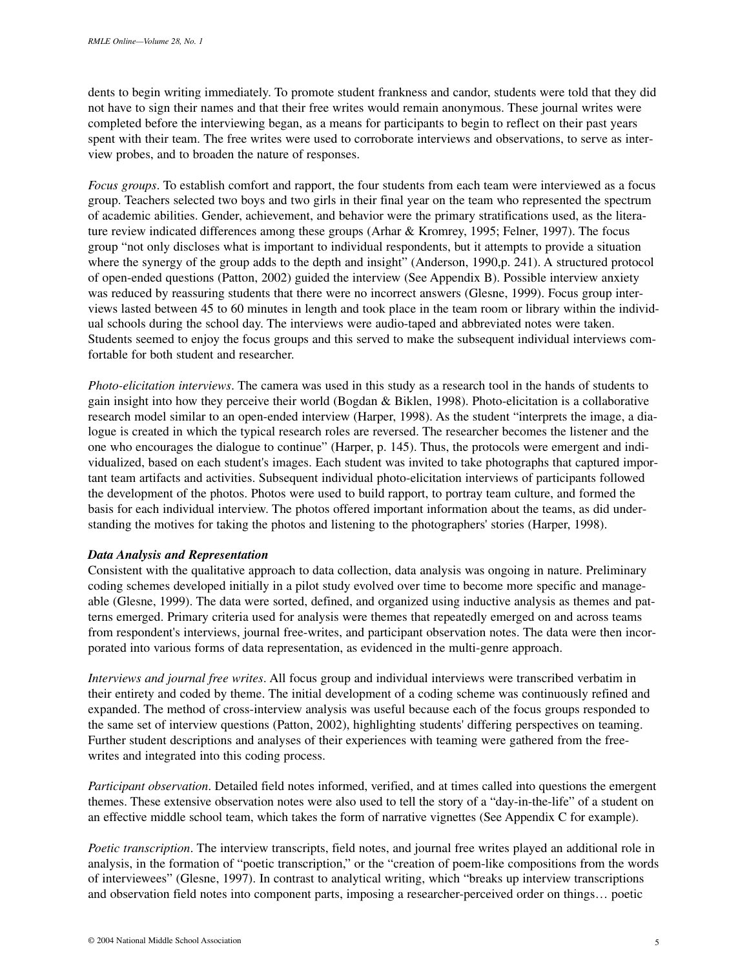dents to begin writing immediately. To promote student frankness and candor, students were told that they did not have to sign their names and that their free writes would remain anonymous. These journal writes were completed before the interviewing began, as a means for participants to begin to reflect on their past years spent with their team. The free writes were used to corroborate interviews and observations, to serve as interview probes, and to broaden the nature of responses.

*Focus groups*. To establish comfort and rapport, the four students from each team were interviewed as a focus group. Teachers selected two boys and two girls in their final year on the team who represented the spectrum of academic abilities. Gender, achievement, and behavior were the primary stratifications used, as the literature review indicated differences among these groups (Arhar & Kromrey, 1995; Felner, 1997). The focus group "not only discloses what is important to individual respondents, but it attempts to provide a situation where the synergy of the group adds to the depth and insight" (Anderson, 1990, p. 241). A structured protocol of open-ended questions (Patton, 2002) guided the interview (See Appendix B). Possible interview anxiety was reduced by reassuring students that there were no incorrect answers (Glesne, 1999). Focus group interviews lasted between 45 to 60 minutes in length and took place in the team room or library within the individual schools during the school day. The interviews were audio-taped and abbreviated notes were taken. Students seemed to enjoy the focus groups and this served to make the subsequent individual interviews comfortable for both student and researcher.

*Photo-elicitation interviews*. The camera was used in this study as a research tool in the hands of students to gain insight into how they perceive their world (Bogdan & Biklen, 1998). Photo-elicitation is a collaborative research model similar to an open-ended interview (Harper, 1998). As the student "interprets the image, a dialogue is created in which the typical research roles are reversed. The researcher becomes the listener and the one who encourages the dialogue to continue" (Harper, p. 145). Thus, the protocols were emergent and individualized, based on each student's images. Each student was invited to take photographs that captured important team artifacts and activities. Subsequent individual photo-elicitation interviews of participants followed the development of the photos. Photos were used to build rapport, to portray team culture, and formed the basis for each individual interview. The photos offered important information about the teams, as did understanding the motives for taking the photos and listening to the photographers' stories (Harper, 1998).

#### *Data Analysis and Representation*

Consistent with the qualitative approach to data collection, data analysis was ongoing in nature. Preliminary coding schemes developed initially in a pilot study evolved over time to become more specific and manageable (Glesne, 1999). The data were sorted, defined, and organized using inductive analysis as themes and patterns emerged. Primary criteria used for analysis were themes that repeatedly emerged on and across teams from respondent's interviews, journal free-writes, and participant observation notes. The data were then incorporated into various forms of data representation, as evidenced in the multi-genre approach.

*Interviews and journal free writes*. All focus group and individual interviews were transcribed verbatim in their entirety and coded by theme. The initial development of a coding scheme was continuously refined and expanded. The method of cross-interview analysis was useful because each of the focus groups responded to the same set of interview questions (Patton, 2002), highlighting students' differing perspectives on teaming. Further student descriptions and analyses of their experiences with teaming were gathered from the freewrites and integrated into this coding process.

*Participant observation*. Detailed field notes informed, verified, and at times called into questions the emergent themes. These extensive observation notes were also used to tell the story of a "day-in-the-life" of a student on an effective middle school team, which takes the form of narrative vignettes (See Appendix C for example).

*Poetic transcription*. The interview transcripts, field notes, and journal free writes played an additional role in analysis, in the formation of "poetic transcription," or the "creation of poem-like compositions from the words of interviewees" (Glesne, 1997). In contrast to analytical writing, which "breaks up interview transcriptions and observation field notes into component parts, imposing a researcher-perceived order on things… poetic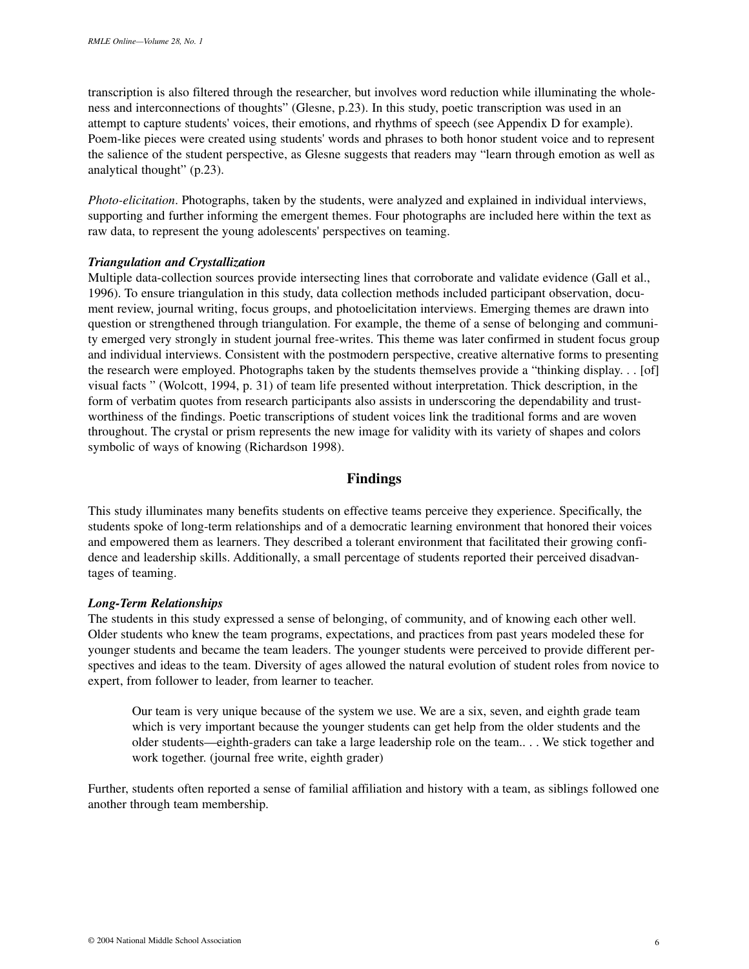transcription is also filtered through the researcher, but involves word reduction while illuminating the wholeness and interconnections of thoughts" (Glesne, p.23). In this study, poetic transcription was used in an attempt to capture students' voices, their emotions, and rhythms of speech (see Appendix D for example). Poem-like pieces were created using students' words and phrases to both honor student voice and to represent the salience of the student perspective, as Glesne suggests that readers may "learn through emotion as well as analytical thought" (p.23).

*Photo-elicitation*. Photographs, taken by the students, were analyzed and explained in individual interviews, supporting and further informing the emergent themes. Four photographs are included here within the text as raw data, to represent the young adolescents' perspectives on teaming.

#### *Triangulation and Crystallization*

Multiple data-collection sources provide intersecting lines that corroborate and validate evidence (Gall et al., 1996). To ensure triangulation in this study, data collection methods included participant observation, document review, journal writing, focus groups, and photoelicitation interviews. Emerging themes are drawn into question or strengthened through triangulation. For example, the theme of a sense of belonging and community emerged very strongly in student journal free-writes. This theme was later confirmed in student focus group and individual interviews. Consistent with the postmodern perspective, creative alternative forms to presenting the research were employed. Photographs taken by the students themselves provide a "thinking display. . . [of] visual facts " (Wolcott, 1994, p. 31) of team life presented without interpretation. Thick description, in the form of verbatim quotes from research participants also assists in underscoring the dependability and trustworthiness of the findings. Poetic transcriptions of student voices link the traditional forms and are woven throughout. The crystal or prism represents the new image for validity with its variety of shapes and colors symbolic of ways of knowing (Richardson 1998).

# **Findings**

This study illuminates many benefits students on effective teams perceive they experience. Specifically, the students spoke of long-term relationships and of a democratic learning environment that honored their voices and empowered them as learners. They described a tolerant environment that facilitated their growing confidence and leadership skills. Additionally, a small percentage of students reported their perceived disadvantages of teaming.

## *Long-Term Relationships*

The students in this study expressed a sense of belonging, of community, and of knowing each other well. Older students who knew the team programs, expectations, and practices from past years modeled these for younger students and became the team leaders. The younger students were perceived to provide different perspectives and ideas to the team. Diversity of ages allowed the natural evolution of student roles from novice to expert, from follower to leader, from learner to teacher.

Our team is very unique because of the system we use. We are a six, seven, and eighth grade team which is very important because the younger students can get help from the older students and the older students—eighth-graders can take a large leadership role on the team.. . . We stick together and work together. (journal free write, eighth grader)

Further, students often reported a sense of familial affiliation and history with a team, as siblings followed one another through team membership.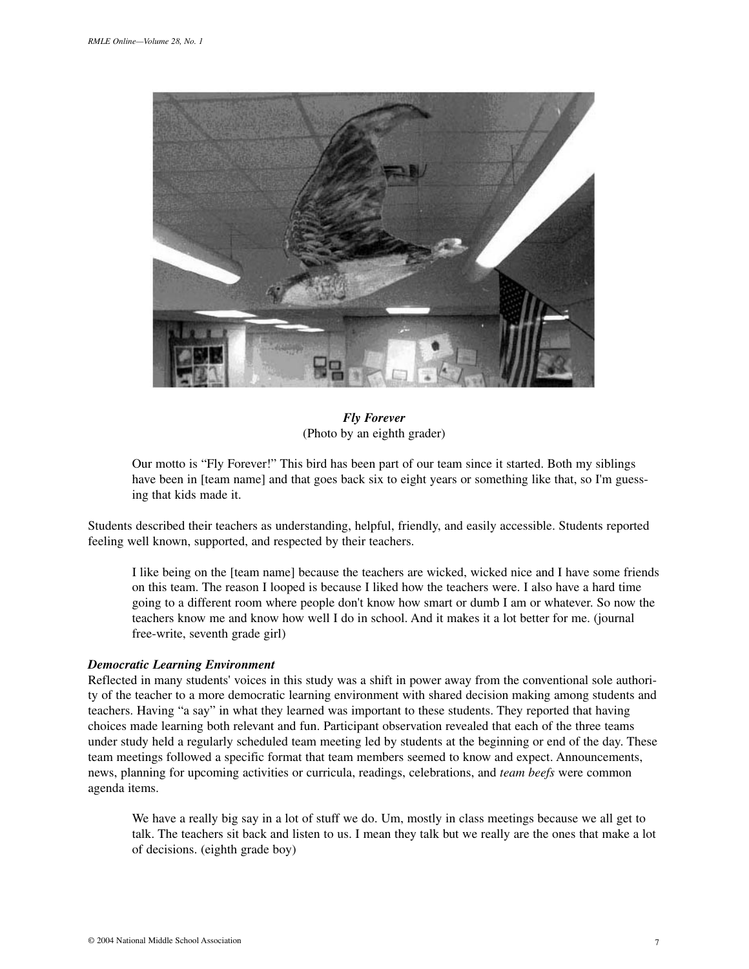

*Fly Forever* (Photo by an eighth grader)

Our motto is "Fly Forever!" This bird has been part of our team since it started. Both my siblings have been in [team name] and that goes back six to eight years or something like that, so I'm guessing that kids made it.

Students described their teachers as understanding, helpful, friendly, and easily accessible. Students reported feeling well known, supported, and respected by their teachers.

I like being on the [team name] because the teachers are wicked, wicked nice and I have some friends on this team. The reason I looped is because I liked how the teachers were. I also have a hard time going to a different room where people don't know how smart or dumb I am or whatever. So now the teachers know me and know how well I do in school. And it makes it a lot better for me. (journal free-write, seventh grade girl)

#### *Democratic Learning Environment*

Reflected in many students' voices in this study was a shift in power away from the conventional sole authority of the teacher to a more democratic learning environment with shared decision making among students and teachers. Having "a say" in what they learned was important to these students. They reported that having choices made learning both relevant and fun. Participant observation revealed that each of the three teams under study held a regularly scheduled team meeting led by students at the beginning or end of the day. These team meetings followed a specific format that team members seemed to know and expect. Announcements, news, planning for upcoming activities or curricula, readings, celebrations, and *team beefs* were common agenda items.

We have a really big say in a lot of stuff we do. Um, mostly in class meetings because we all get to talk. The teachers sit back and listen to us. I mean they talk but we really are the ones that make a lot of decisions. (eighth grade boy)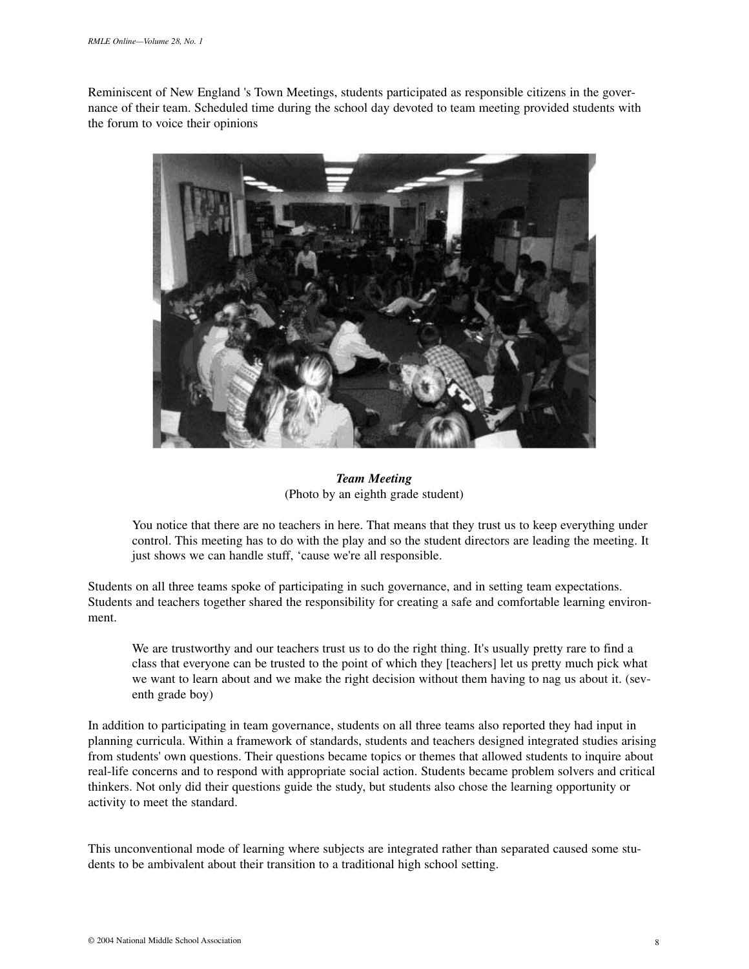Reminiscent of New England 's Town Meetings, students participated as responsible citizens in the governance of their team. Scheduled time during the school day devoted to team meeting provided students with the forum to voice their opinions



*Team Meeting* (Photo by an eighth grade student)

You notice that there are no teachers in here. That means that they trust us to keep everything under control. This meeting has to do with the play and so the student directors are leading the meeting. It just shows we can handle stuff, 'cause we're all responsible.

Students on all three teams spoke of participating in such governance, and in setting team expectations. Students and teachers together shared the responsibility for creating a safe and comfortable learning environment.

We are trustworthy and our teachers trust us to do the right thing. It's usually pretty rare to find a class that everyone can be trusted to the point of which they [teachers] let us pretty much pick what we want to learn about and we make the right decision without them having to nag us about it. (seventh grade boy)

In addition to participating in team governance, students on all three teams also reported they had input in planning curricula. Within a framework of standards, students and teachers designed integrated studies arising from students' own questions. Their questions became topics or themes that allowed students to inquire about real-life concerns and to respond with appropriate social action. Students became problem solvers and critical thinkers. Not only did their questions guide the study, but students also chose the learning opportunity or activity to meet the standard.

This unconventional mode of learning where subjects are integrated rather than separated caused some students to be ambivalent about their transition to a traditional high school setting.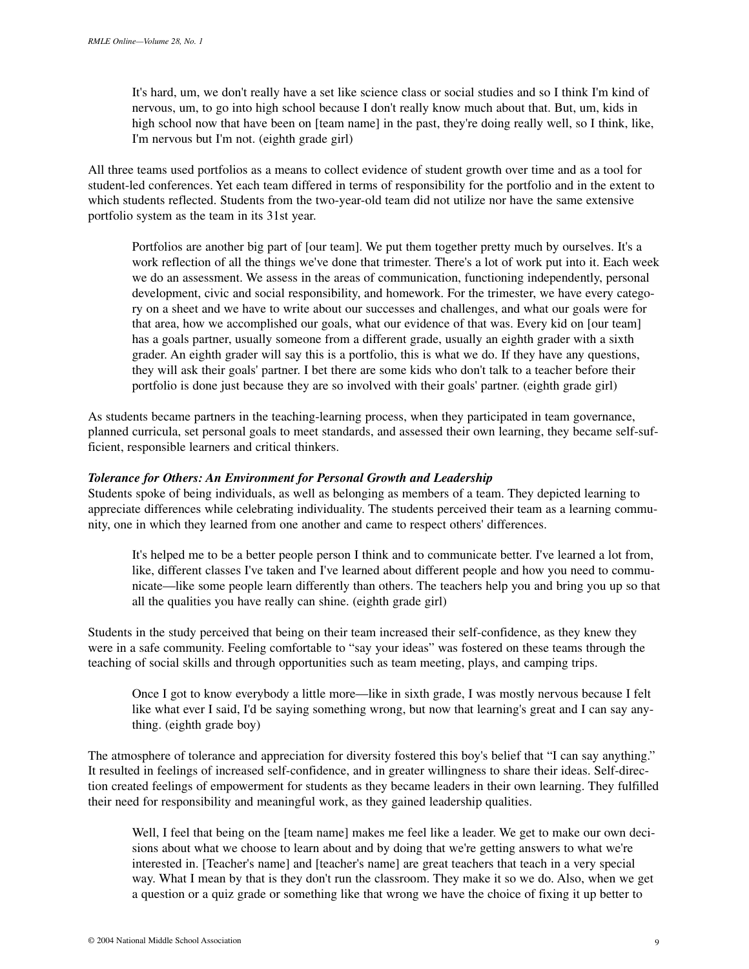It's hard, um, we don't really have a set like science class or social studies and so I think I'm kind of nervous, um, to go into high school because I don't really know much about that. But, um, kids in high school now that have been on [team name] in the past, they're doing really well, so I think, like, I'm nervous but I'm not. (eighth grade girl)

All three teams used portfolios as a means to collect evidence of student growth over time and as a tool for student-led conferences. Yet each team differed in terms of responsibility for the portfolio and in the extent to which students reflected. Students from the two-year-old team did not utilize nor have the same extensive portfolio system as the team in its 31st year.

Portfolios are another big part of [our team]. We put them together pretty much by ourselves. It's a work reflection of all the things we've done that trimester. There's a lot of work put into it. Each week we do an assessment. We assess in the areas of communication, functioning independently, personal development, civic and social responsibility, and homework. For the trimester, we have every category on a sheet and we have to write about our successes and challenges, and what our goals were for that area, how we accomplished our goals, what our evidence of that was. Every kid on [our team] has a goals partner, usually someone from a different grade, usually an eighth grader with a sixth grader. An eighth grader will say this is a portfolio, this is what we do. If they have any questions, they will ask their goals' partner. I bet there are some kids who don't talk to a teacher before their portfolio is done just because they are so involved with their goals' partner. (eighth grade girl)

As students became partners in the teaching-learning process, when they participated in team governance, planned curricula, set personal goals to meet standards, and assessed their own learning, they became self-sufficient, responsible learners and critical thinkers.

### *Tolerance for Others: An Environment for Personal Growth and Leadership*

Students spoke of being individuals, as well as belonging as members of a team. They depicted learning to appreciate differences while celebrating individuality. The students perceived their team as a learning community, one in which they learned from one another and came to respect others' differences.

It's helped me to be a better people person I think and to communicate better. I've learned a lot from, like, different classes I've taken and I've learned about different people and how you need to communicate—like some people learn differently than others. The teachers help you and bring you up so that all the qualities you have really can shine. (eighth grade girl)

Students in the study perceived that being on their team increased their self-confidence, as they knew they were in a safe community. Feeling comfortable to "say your ideas" was fostered on these teams through the teaching of social skills and through opportunities such as team meeting, plays, and camping trips.

Once I got to know everybody a little more—like in sixth grade, I was mostly nervous because I felt like what ever I said, I'd be saying something wrong, but now that learning's great and I can say anything. (eighth grade boy)

The atmosphere of tolerance and appreciation for diversity fostered this boy's belief that "I can say anything." It resulted in feelings of increased self-confidence, and in greater willingness to share their ideas. Self-direction created feelings of empowerment for students as they became leaders in their own learning. They fulfilled their need for responsibility and meaningful work, as they gained leadership qualities.

Well, I feel that being on the [team name] makes me feel like a leader. We get to make our own decisions about what we choose to learn about and by doing that we're getting answers to what we're interested in. [Teacher's name] and [teacher's name] are great teachers that teach in a very special way. What I mean by that is they don't run the classroom. They make it so we do. Also, when we get a question or a quiz grade or something like that wrong we have the choice of fixing it up better to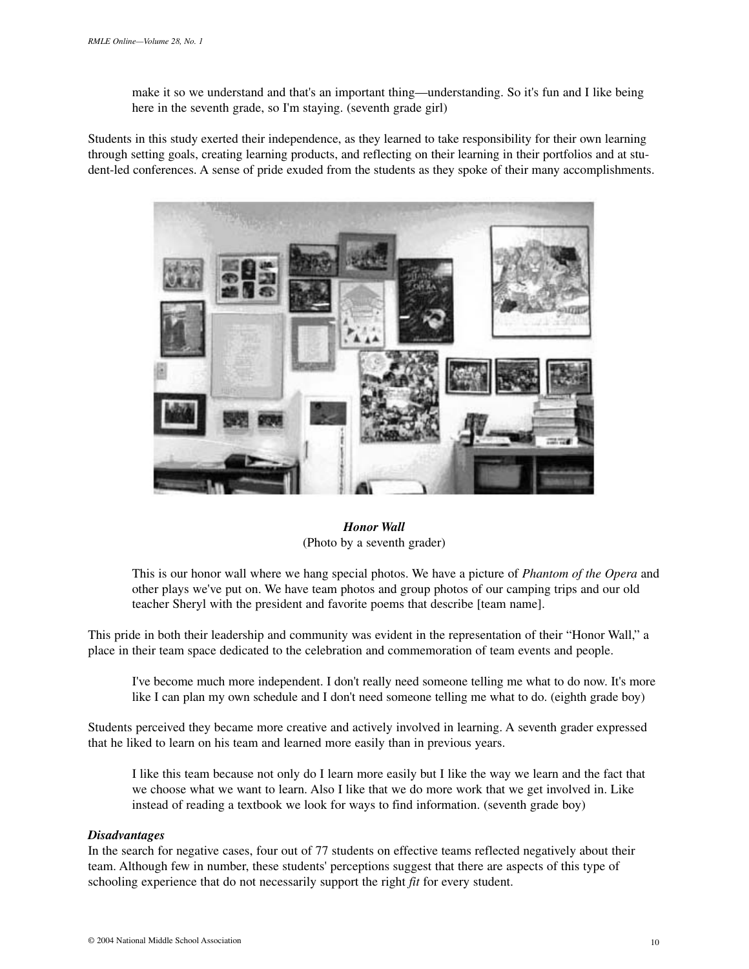make it so we understand and that's an important thing—understanding. So it's fun and I like being here in the seventh grade, so I'm staying. (seventh grade girl)

Students in this study exerted their independence, as they learned to take responsibility for their own learning through setting goals, creating learning products, and reflecting on their learning in their portfolios and at student-led conferences. A sense of pride exuded from the students as they spoke of their many accomplishments.



*Honor Wall* (Photo by a seventh grader)

This is our honor wall where we hang special photos. We have a picture of *Phantom of the Opera* and other plays we've put on. We have team photos and group photos of our camping trips and our old teacher Sheryl with the president and favorite poems that describe [team name].

This pride in both their leadership and community was evident in the representation of their "Honor Wall," a place in their team space dedicated to the celebration and commemoration of team events and people.

I've become much more independent. I don't really need someone telling me what to do now. It's more like I can plan my own schedule and I don't need someone telling me what to do. (eighth grade boy)

Students perceived they became more creative and actively involved in learning. A seventh grader expressed that he liked to learn on his team and learned more easily than in previous years.

I like this team because not only do I learn more easily but I like the way we learn and the fact that we choose what we want to learn. Also I like that we do more work that we get involved in. Like instead of reading a textbook we look for ways to find information. (seventh grade boy)

## *Disadvantages*

In the search for negative cases, four out of 77 students on effective teams reflected negatively about their team. Although few in number, these students' perceptions suggest that there are aspects of this type of schooling experience that do not necessarily support the right *fit* for every student.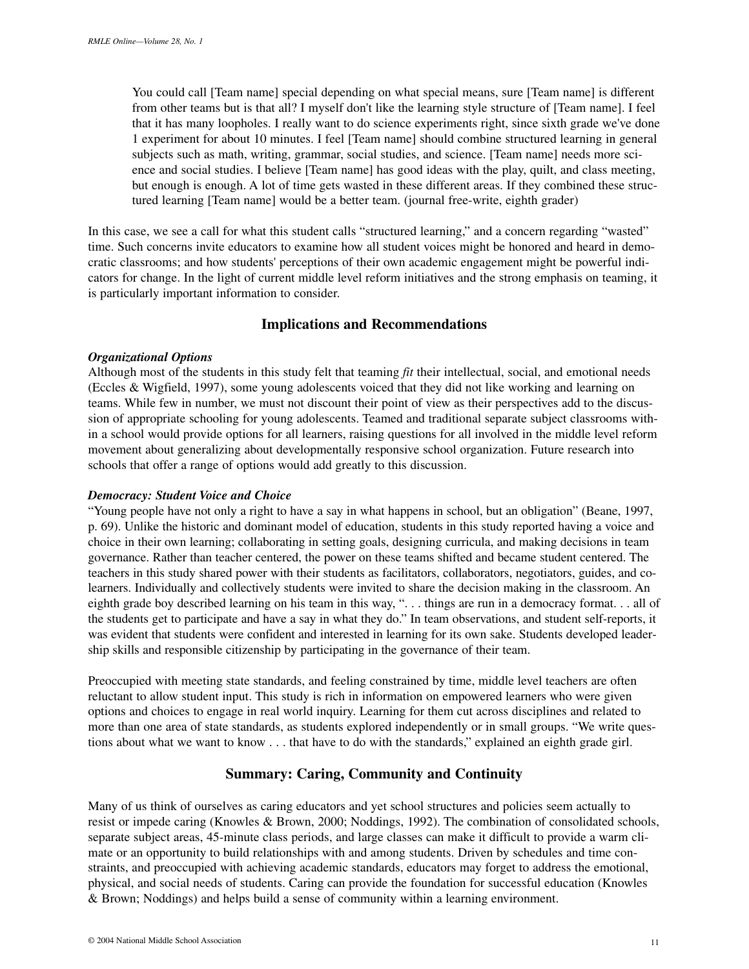You could call [Team name] special depending on what special means, sure [Team name] is different from other teams but is that all? I myself don't like the learning style structure of [Team name]. I feel that it has many loopholes. I really want to do science experiments right, since sixth grade we've done 1 experiment for about 10 minutes. I feel [Team name] should combine structured learning in general subjects such as math, writing, grammar, social studies, and science. [Team name] needs more science and social studies. I believe [Team name] has good ideas with the play, quilt, and class meeting, but enough is enough. A lot of time gets wasted in these different areas. If they combined these structured learning [Team name] would be a better team. (journal free-write, eighth grader)

In this case, we see a call for what this student calls "structured learning," and a concern regarding "wasted" time. Such concerns invite educators to examine how all student voices might be honored and heard in democratic classrooms; and how students' perceptions of their own academic engagement might be powerful indicators for change. In the light of current middle level reform initiatives and the strong emphasis on teaming, it is particularly important information to consider.

# **Implications and Recommendations**

#### *Organizational Options*

Although most of the students in this study felt that teaming *fit* their intellectual, social, and emotional needs (Eccles & Wigfield, 1997), some young adolescents voiced that they did not like working and learning on teams. While few in number, we must not discount their point of view as their perspectives add to the discussion of appropriate schooling for young adolescents. Teamed and traditional separate subject classrooms within a school would provide options for all learners, raising questions for all involved in the middle level reform movement about generalizing about developmentally responsive school organization. Future research into schools that offer a range of options would add greatly to this discussion.

#### *Democracy: Student Voice and Choice*

"Young people have not only a right to have a say in what happens in school, but an obligation" (Beane, 1997, p. 69). Unlike the historic and dominant model of education, students in this study reported having a voice and choice in their own learning; collaborating in setting goals, designing curricula, and making decisions in team governance. Rather than teacher centered, the power on these teams shifted and became student centered. The teachers in this study shared power with their students as facilitators, collaborators, negotiators, guides, and colearners. Individually and collectively students were invited to share the decision making in the classroom. An eighth grade boy described learning on his team in this way, ". . . things are run in a democracy format. . . all of the students get to participate and have a say in what they do." In team observations, and student self-reports, it was evident that students were confident and interested in learning for its own sake. Students developed leadership skills and responsible citizenship by participating in the governance of their team.

Preoccupied with meeting state standards, and feeling constrained by time, middle level teachers are often reluctant to allow student input. This study is rich in information on empowered learners who were given options and choices to engage in real world inquiry. Learning for them cut across disciplines and related to more than one area of state standards, as students explored independently or in small groups. "We write questions about what we want to know . . . that have to do with the standards," explained an eighth grade girl.

# **Summary: Caring, Community and Continuity**

Many of us think of ourselves as caring educators and yet school structures and policies seem actually to resist or impede caring (Knowles & Brown, 2000; Noddings, 1992). The combination of consolidated schools, separate subject areas, 45-minute class periods, and large classes can make it difficult to provide a warm climate or an opportunity to build relationships with and among students. Driven by schedules and time constraints, and preoccupied with achieving academic standards, educators may forget to address the emotional, physical, and social needs of students. Caring can provide the foundation for successful education (Knowles & Brown; Noddings) and helps build a sense of community within a learning environment.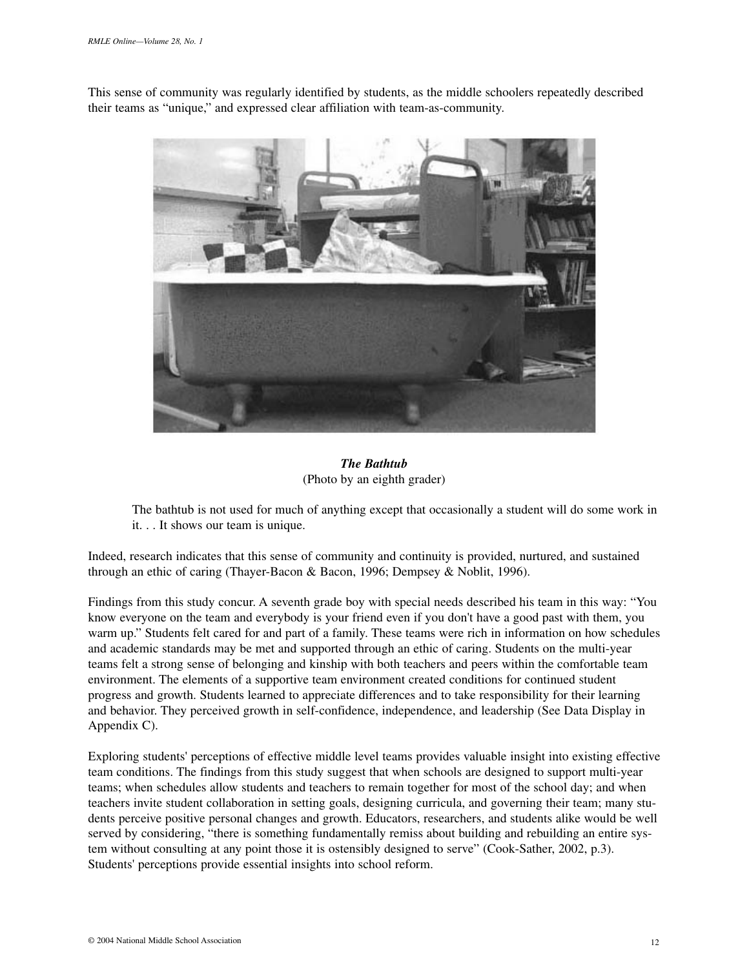This sense of community was regularly identified by students, as the middle schoolers repeatedly described their teams as "unique," and expressed clear affiliation with team-as-community.



# *The Bathtub* (Photo by an eighth grader)

The bathtub is not used for much of anything except that occasionally a student will do some work in it. . . It shows our team is unique.

Indeed, research indicates that this sense of community and continuity is provided, nurtured, and sustained through an ethic of caring (Thayer-Bacon & Bacon, 1996; Dempsey & Noblit, 1996).

Findings from this study concur. A seventh grade boy with special needs described his team in this way: "You know everyone on the team and everybody is your friend even if you don't have a good past with them, you warm up." Students felt cared for and part of a family. These teams were rich in information on how schedules and academic standards may be met and supported through an ethic of caring. Students on the multi-year teams felt a strong sense of belonging and kinship with both teachers and peers within the comfortable team environment. The elements of a supportive team environment created conditions for continued student progress and growth. Students learned to appreciate differences and to take responsibility for their learning and behavior. They perceived growth in self-confidence, independence, and leadership (See Data Display in Appendix C).

Exploring students' perceptions of effective middle level teams provides valuable insight into existing effective team conditions. The findings from this study suggest that when schools are designed to support multi-year teams; when schedules allow students and teachers to remain together for most of the school day; and when teachers invite student collaboration in setting goals, designing curricula, and governing their team; many students perceive positive personal changes and growth. Educators, researchers, and students alike would be well served by considering, "there is something fundamentally remiss about building and rebuilding an entire system without consulting at any point those it is ostensibly designed to serve" (Cook-Sather, 2002, p.3). Students' perceptions provide essential insights into school reform.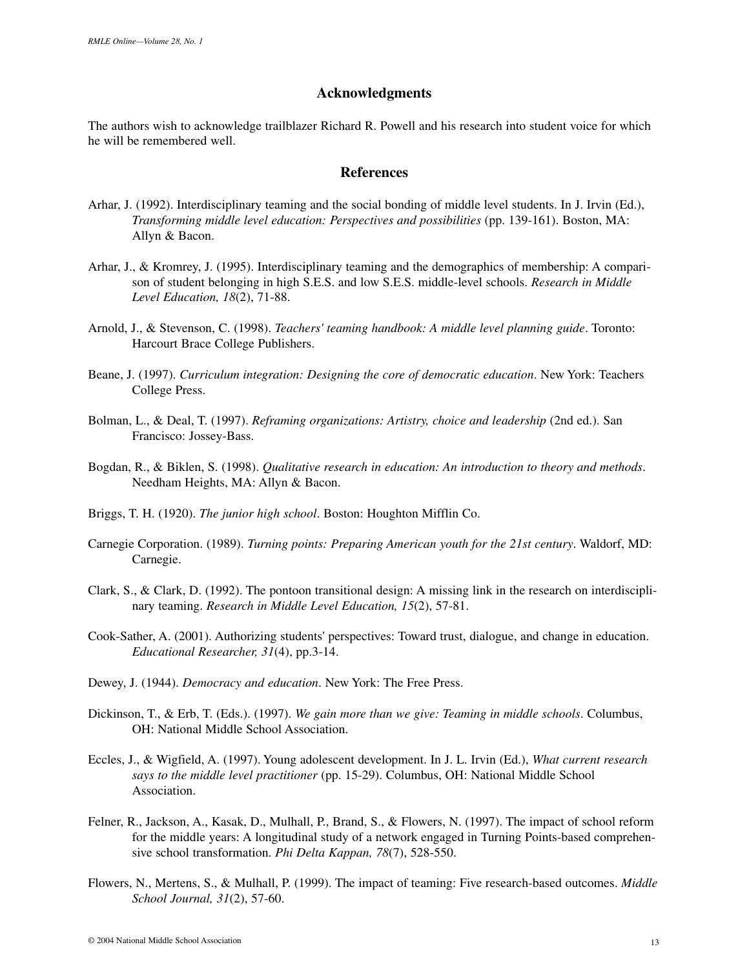## **Acknowledgments**

The authors wish to acknowledge trailblazer Richard R. Powell and his research into student voice for which he will be remembered well.

## **References**

- Arhar, J. (1992). Interdisciplinary teaming and the social bonding of middle level students. In J. Irvin (Ed.), *Transforming middle level education: Perspectives and possibilities* (pp. 139-161). Boston, MA: Allyn & Bacon.
- Arhar, J., & Kromrey, J. (1995). Interdisciplinary teaming and the demographics of membership: A comparison of student belonging in high S.E.S. and low S.E.S. middle-level schools. *Research in Middle Level Education, 18*(2), 71-88.
- Arnold, J., & Stevenson, C. (1998). *Teachers' teaming handbook: A middle level planning guide*. Toronto: Harcourt Brace College Publishers.
- Beane, J. (1997). *Curriculum integration: Designing the core of democratic education*. New York: Teachers College Press.
- Bolman, L., & Deal, T. (1997). *Reframing organizations: Artistry, choice and leadership* (2nd ed.). San Francisco: Jossey-Bass.
- Bogdan, R., & Biklen, S. (1998). *Qualitative research in education: An introduction to theory and methods*. Needham Heights, MA: Allyn & Bacon.
- Briggs, T. H. (1920). *The junior high school*. Boston: Houghton Mifflin Co.
- Carnegie Corporation. (1989). *Turning points: Preparing American youth for the 21st century*. Waldorf, MD: Carnegie.
- Clark, S., & Clark, D. (1992). The pontoon transitional design: A missing link in the research on interdisciplinary teaming. *Research in Middle Level Education, 15*(2), 57-81.
- Cook-Sather, A. (2001). Authorizing students' perspectives: Toward trust, dialogue, and change in education. *Educational Researcher, 31*(4), pp.3-14.
- Dewey, J. (1944). *Democracy and education*. New York: The Free Press.
- Dickinson, T., & Erb, T. (Eds.). (1997). *We gain more than we give: Teaming in middle schools*. Columbus, OH: National Middle School Association.
- Eccles, J., & Wigfield, A. (1997). Young adolescent development. In J. L. Irvin (Ed.), *What current research says to the middle level practitioner* (pp. 15-29). Columbus, OH: National Middle School Association.
- Felner, R., Jackson, A., Kasak, D., Mulhall, P., Brand, S., & Flowers, N. (1997). The impact of school reform for the middle years: A longitudinal study of a network engaged in Turning Points-based comprehensive school transformation. *Phi Delta Kappan, 78*(7), 528-550.
- Flowers, N., Mertens, S., & Mulhall, P. (1999). The impact of teaming: Five research-based outcomes. *Middle School Journal, 31*(2), 57-60.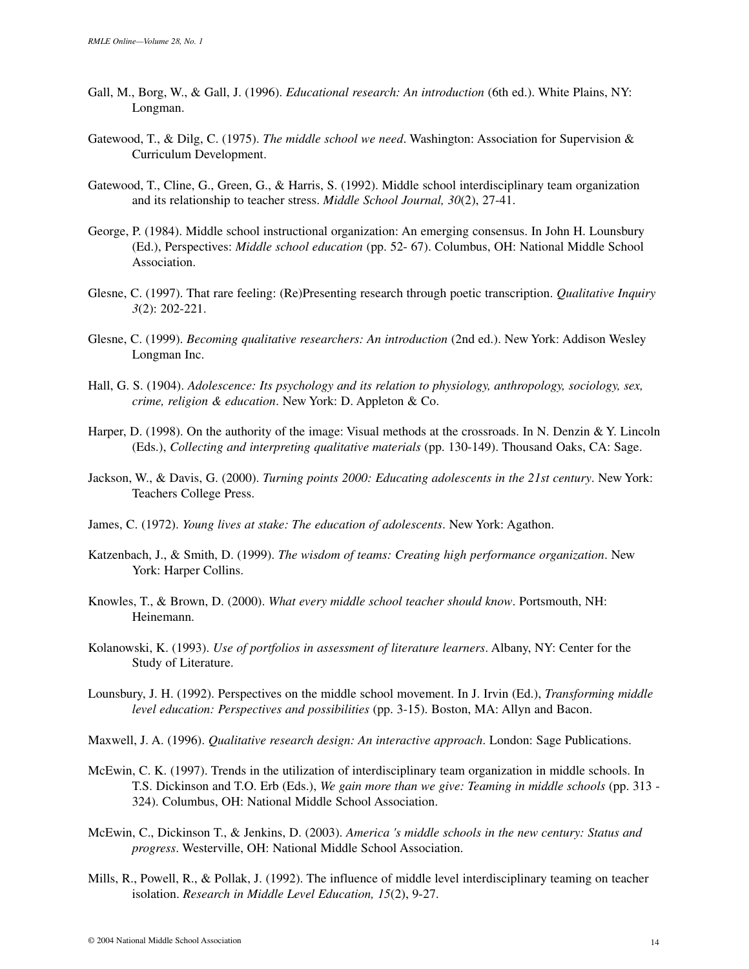- Gall, M., Borg, W., & Gall, J. (1996). *Educational research: An introduction* (6th ed.). White Plains, NY: Longman.
- Gatewood, T., & Dilg, C. (1975). *The middle school we need*. Washington: Association for Supervision & Curriculum Development.
- Gatewood, T., Cline, G., Green, G., & Harris, S. (1992). Middle school interdisciplinary team organization and its relationship to teacher stress. *Middle School Journal, 30*(2), 27-41.
- George, P. (1984). Middle school instructional organization: An emerging consensus. In John H. Lounsbury (Ed.), Perspectives: *Middle school education* (pp. 52- 67). Columbus, OH: National Middle School Association.
- Glesne, C. (1997). That rare feeling: (Re)Presenting research through poetic transcription. *Qualitative Inquiry 3*(2): 202-221.
- Glesne, C. (1999). *Becoming qualitative researchers: An introduction* (2nd ed.). New York: Addison Wesley Longman Inc.
- Hall, G. S. (1904). *Adolescence: Its psychology and its relation to physiology, anthropology, sociology, sex, crime, religion & education*. New York: D. Appleton & Co.
- Harper, D. (1998). On the authority of the image: Visual methods at the crossroads. In N. Denzin & Y. Lincoln (Eds.), *Collecting and interpreting qualitative materials* (pp. 130-149). Thousand Oaks, CA: Sage.
- Jackson, W., & Davis, G. (2000). *Turning points 2000: Educating adolescents in the 21st century*. New York: Teachers College Press.
- James, C. (1972). *Young lives at stake: The education of adolescents*. New York: Agathon.
- Katzenbach, J., & Smith, D. (1999). *The wisdom of teams: Creating high performance organization*. New York: Harper Collins.
- Knowles, T., & Brown, D. (2000). *What every middle school teacher should know*. Portsmouth, NH: Heinemann.
- Kolanowski, K. (1993). *Use of portfolios in assessment of literature learners*. Albany, NY: Center for the Study of Literature.
- Lounsbury, J. H. (1992). Perspectives on the middle school movement. In J. Irvin (Ed.), *Transforming middle level education: Perspectives and possibilities* (pp. 3-15). Boston, MA: Allyn and Bacon.
- Maxwell, J. A. (1996). *Qualitative research design: An interactive approach*. London: Sage Publications.
- McEwin, C. K. (1997). Trends in the utilization of interdisciplinary team organization in middle schools. In T.S. Dickinson and T.O. Erb (Eds.), *We gain more than we give: Teaming in middle schools* (pp. 313 - 324). Columbus, OH: National Middle School Association.
- McEwin, C., Dickinson T., & Jenkins, D. (2003). *America 's middle schools in the new century: Status and progress*. Westerville, OH: National Middle School Association.
- Mills, R., Powell, R., & Pollak, J. (1992). The influence of middle level interdisciplinary teaming on teacher isolation. *Research in Middle Level Education, 15*(2), 9-27.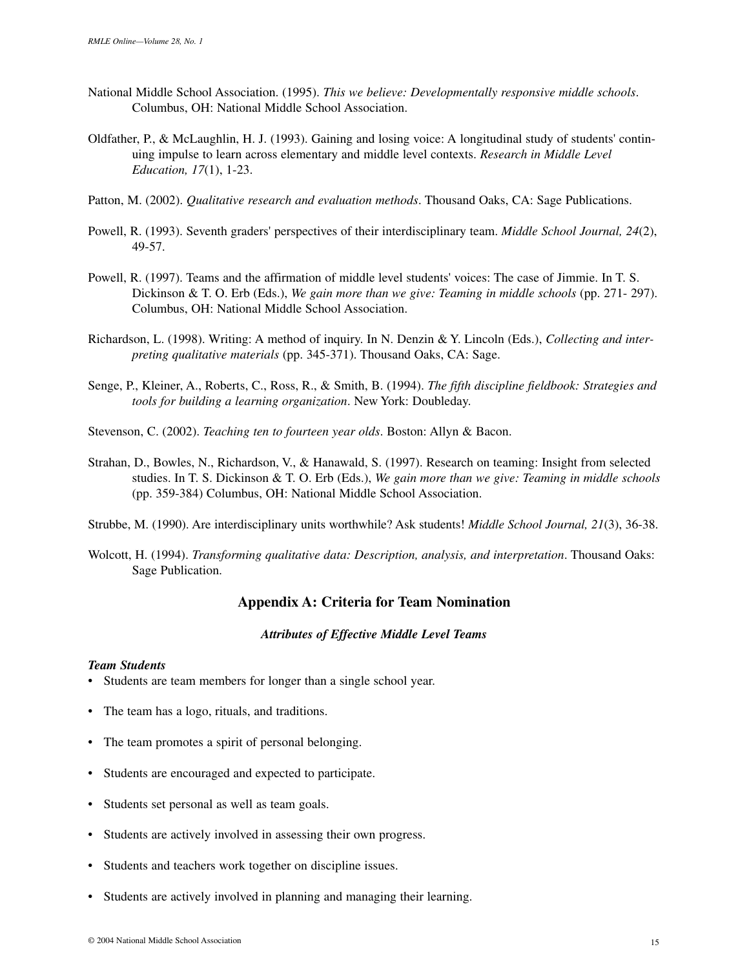- National Middle School Association. (1995). *This we believe: Developmentally responsive middle schools*. Columbus, OH: National Middle School Association.
- Oldfather, P., & McLaughlin, H. J. (1993). Gaining and losing voice: A longitudinal study of students' continuing impulse to learn across elementary and middle level contexts. *Research in Middle Level Education, 17*(1), 1-23.
- Patton, M. (2002). *Qualitative research and evaluation methods*. Thousand Oaks, CA: Sage Publications.
- Powell, R. (1993). Seventh graders' perspectives of their interdisciplinary team. *Middle School Journal, 24*(2), 49-57.
- Powell, R. (1997). Teams and the affirmation of middle level students' voices: The case of Jimmie. In T. S. Dickinson & T. O. Erb (Eds.), *We gain more than we give: Teaming in middle schools* (pp. 271- 297). Columbus, OH: National Middle School Association.
- Richardson, L. (1998). Writing: A method of inquiry. In N. Denzin & Y. Lincoln (Eds.), *Collecting and interpreting qualitative materials* (pp. 345-371). Thousand Oaks, CA: Sage.
- Senge, P., Kleiner, A., Roberts, C., Ross, R., & Smith, B. (1994). *The fifth discipline fieldbook: Strategies and tools for building a learning organization*. New York: Doubleday.
- Stevenson, C. (2002). *Teaching ten to fourteen year olds*. Boston: Allyn & Bacon.
- Strahan, D., Bowles, N., Richardson, V., & Hanawald, S. (1997). Research on teaming: Insight from selected studies. In T. S. Dickinson & T. O. Erb (Eds.), *We gain more than we give: Teaming in middle schools* (pp. 359-384) Columbus, OH: National Middle School Association.
- Strubbe, M. (1990). Are interdisciplinary units worthwhile? Ask students! *Middle School Journal, 21*(3), 36-38.
- Wolcott, H. (1994). *Transforming qualitative data: Description, analysis, and interpretation*. Thousand Oaks: Sage Publication.

# **Appendix A: Criteria for Team Nomination**

#### *Attributes of Effective Middle Level Teams*

#### *Team Students*

- Students are team members for longer than a single school year.
- The team has a logo, rituals, and traditions.
- The team promotes a spirit of personal belonging.
- Students are encouraged and expected to participate.
- Students set personal as well as team goals.
- Students are actively involved in assessing their own progress.
- Students and teachers work together on discipline issues.
- Students are actively involved in planning and managing their learning.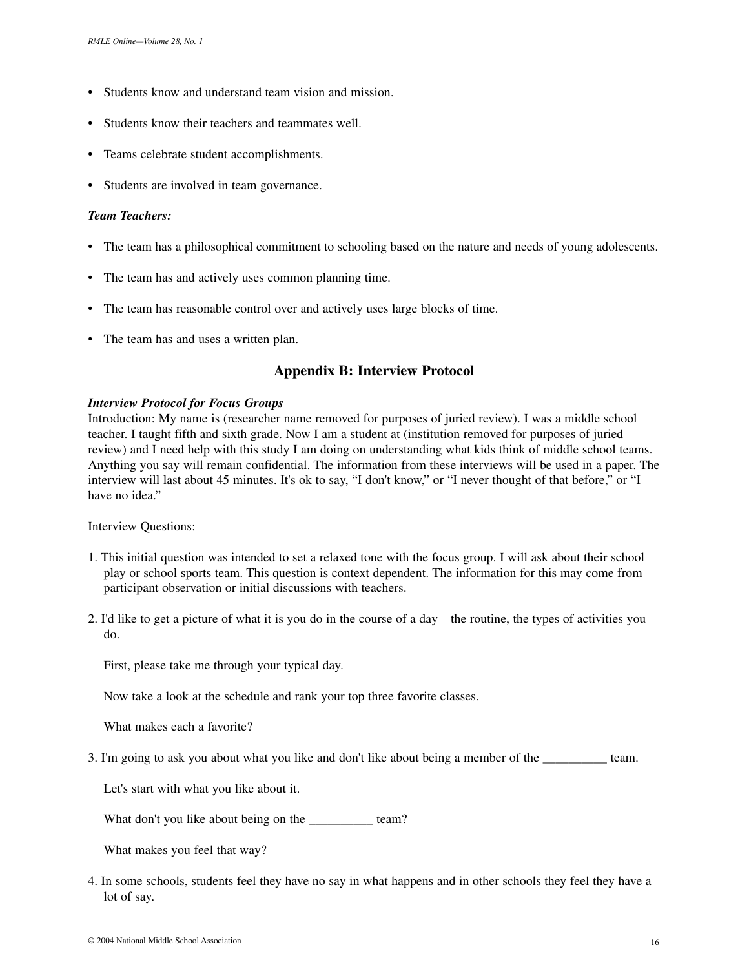- Students know and understand team vision and mission.
- Students know their teachers and teammates well.
- Teams celebrate student accomplishments.
- Students are involved in team governance.

## *Team Teachers:*

- The team has a philosophical commitment to schooling based on the nature and needs of young adolescents.
- The team has and actively uses common planning time.
- The team has reasonable control over and actively uses large blocks of time.
- The team has and uses a written plan.

# **Appendix B: Interview Protocol**

#### *Interview Protocol for Focus Groups*

Introduction: My name is (researcher name removed for purposes of juried review). I was a middle school teacher. I taught fifth and sixth grade. Now I am a student at (institution removed for purposes of juried review) and I need help with this study I am doing on understanding what kids think of middle school teams. Anything you say will remain confidential. The information from these interviews will be used in a paper. The interview will last about 45 minutes. It's ok to say, "I don't know," or "I never thought of that before," or "I have no idea."

Interview Questions:

- 1. This initial question was intended to set a relaxed tone with the focus group. I will ask about their school play or school sports team. This question is context dependent. The information for this may come from participant observation or initial discussions with teachers.
- 2. I'd like to get a picture of what it is you do in the course of a day—the routine, the types of activities you do.

First, please take me through your typical day.

Now take a look at the schedule and rank your top three favorite classes.

What makes each a favorite?

3. I'm going to ask you about what you like and don't like about being a member of the \_\_\_\_\_\_\_\_\_\_ team.

Let's start with what you like about it.

What don't you like about being on the \_\_\_\_\_\_\_\_\_\_ team?

What makes you feel that way?

4. In some schools, students feel they have no say in what happens and in other schools they feel they have a lot of say.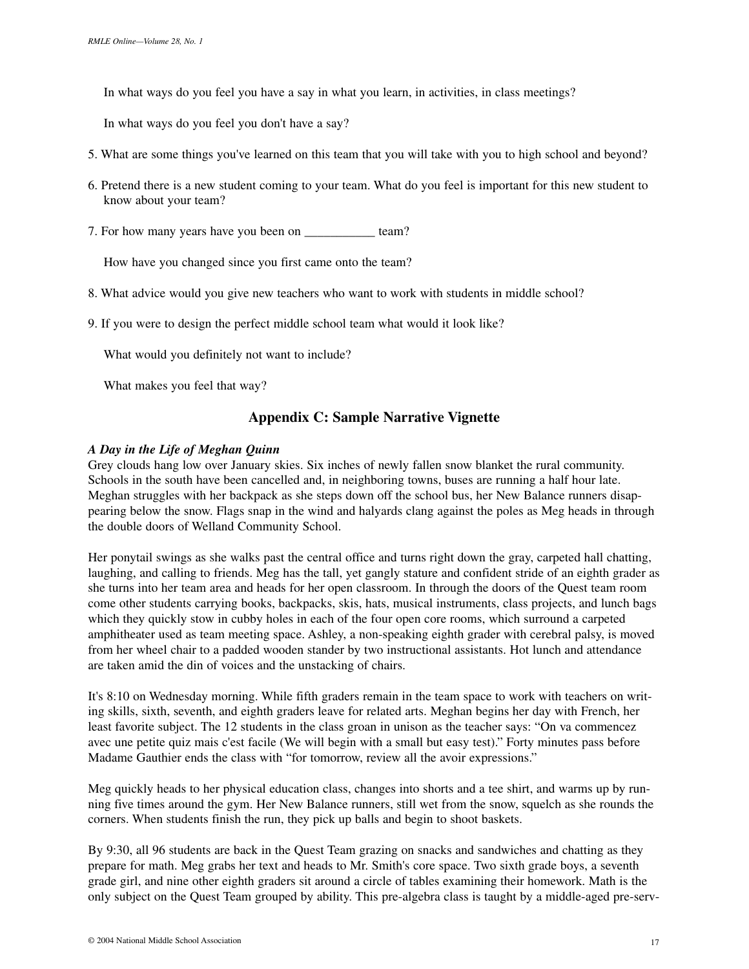In what ways do you feel you have a say in what you learn, in activities, in class meetings?

In what ways do you feel you don't have a say?

- 5. What are some things you've learned on this team that you will take with you to high school and beyond?
- 6. Pretend there is a new student coming to your team. What do you feel is important for this new student to know about your team?
- 7. For how many years have you been on team?

How have you changed since you first came onto the team?

- 8. What advice would you give new teachers who want to work with students in middle school?
- 9. If you were to design the perfect middle school team what would it look like?

What would you definitely not want to include?

What makes you feel that way?

# **Appendix C: Sample Narrative Vignette**

#### *A Day in the Life of Meghan Quinn*

Grey clouds hang low over January skies. Six inches of newly fallen snow blanket the rural community. Schools in the south have been cancelled and, in neighboring towns, buses are running a half hour late. Meghan struggles with her backpack as she steps down off the school bus, her New Balance runners disappearing below the snow. Flags snap in the wind and halyards clang against the poles as Meg heads in through the double doors of Welland Community School.

Her ponytail swings as she walks past the central office and turns right down the gray, carpeted hall chatting, laughing, and calling to friends. Meg has the tall, yet gangly stature and confident stride of an eighth grader as she turns into her team area and heads for her open classroom. In through the doors of the Quest team room come other students carrying books, backpacks, skis, hats, musical instruments, class projects, and lunch bags which they quickly stow in cubby holes in each of the four open core rooms, which surround a carpeted amphitheater used as team meeting space. Ashley, a non-speaking eighth grader with cerebral palsy, is moved from her wheel chair to a padded wooden stander by two instructional assistants. Hot lunch and attendance are taken amid the din of voices and the unstacking of chairs.

It's 8:10 on Wednesday morning. While fifth graders remain in the team space to work with teachers on writing skills, sixth, seventh, and eighth graders leave for related arts. Meghan begins her day with French, her least favorite subject. The 12 students in the class groan in unison as the teacher says: "On va commencez avec une petite quiz mais c'est facile (We will begin with a small but easy test)." Forty minutes pass before Madame Gauthier ends the class with "for tomorrow, review all the avoir expressions."

Meg quickly heads to her physical education class, changes into shorts and a tee shirt, and warms up by running five times around the gym. Her New Balance runners, still wet from the snow, squelch as she rounds the corners. When students finish the run, they pick up balls and begin to shoot baskets.

By 9:30, all 96 students are back in the Quest Team grazing on snacks and sandwiches and chatting as they prepare for math. Meg grabs her text and heads to Mr. Smith's core space. Two sixth grade boys, a seventh grade girl, and nine other eighth graders sit around a circle of tables examining their homework. Math is the only subject on the Quest Team grouped by ability. This pre-algebra class is taught by a middle-aged pre-serv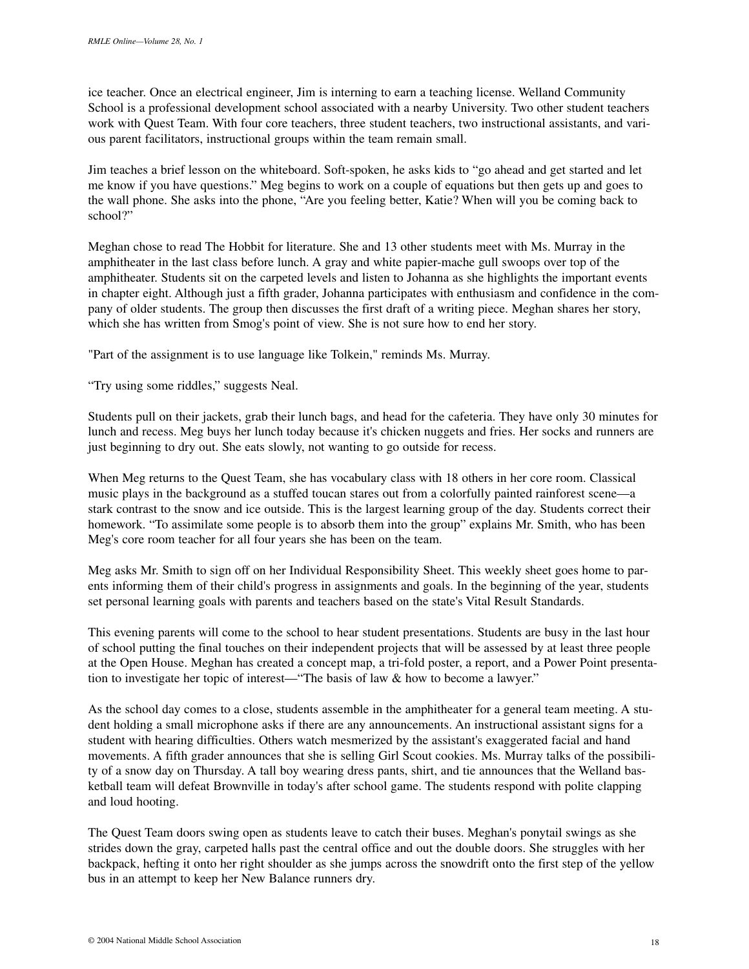ice teacher. Once an electrical engineer, Jim is interning to earn a teaching license. Welland Community School is a professional development school associated with a nearby University. Two other student teachers work with Quest Team. With four core teachers, three student teachers, two instructional assistants, and various parent facilitators, instructional groups within the team remain small.

Jim teaches a brief lesson on the whiteboard. Soft-spoken, he asks kids to "go ahead and get started and let me know if you have questions." Meg begins to work on a couple of equations but then gets up and goes to the wall phone. She asks into the phone, "Are you feeling better, Katie? When will you be coming back to school?"

Meghan chose to read The Hobbit for literature. She and 13 other students meet with Ms. Murray in the amphitheater in the last class before lunch. A gray and white papier-mache gull swoops over top of the amphitheater. Students sit on the carpeted levels and listen to Johanna as she highlights the important events in chapter eight. Although just a fifth grader, Johanna participates with enthusiasm and confidence in the company of older students. The group then discusses the first draft of a writing piece. Meghan shares her story, which she has written from Smog's point of view. She is not sure how to end her story.

"Part of the assignment is to use language like Tolkein," reminds Ms. Murray.

"Try using some riddles," suggests Neal.

Students pull on their jackets, grab their lunch bags, and head for the cafeteria. They have only 30 minutes for lunch and recess. Meg buys her lunch today because it's chicken nuggets and fries. Her socks and runners are just beginning to dry out. She eats slowly, not wanting to go outside for recess.

When Meg returns to the Quest Team, she has vocabulary class with 18 others in her core room. Classical music plays in the background as a stuffed toucan stares out from a colorfully painted rainforest scene—a stark contrast to the snow and ice outside. This is the largest learning group of the day. Students correct their homework. "To assimilate some people is to absorb them into the group" explains Mr. Smith, who has been Meg's core room teacher for all four years she has been on the team.

Meg asks Mr. Smith to sign off on her Individual Responsibility Sheet. This weekly sheet goes home to parents informing them of their child's progress in assignments and goals. In the beginning of the year, students set personal learning goals with parents and teachers based on the state's Vital Result Standards.

This evening parents will come to the school to hear student presentations. Students are busy in the last hour of school putting the final touches on their independent projects that will be assessed by at least three people at the Open House. Meghan has created a concept map, a tri-fold poster, a report, and a Power Point presentation to investigate her topic of interest—"The basis of law & how to become a lawyer."

As the school day comes to a close, students assemble in the amphitheater for a general team meeting. A student holding a small microphone asks if there are any announcements. An instructional assistant signs for a student with hearing difficulties. Others watch mesmerized by the assistant's exaggerated facial and hand movements. A fifth grader announces that she is selling Girl Scout cookies. Ms. Murray talks of the possibility of a snow day on Thursday. A tall boy wearing dress pants, shirt, and tie announces that the Welland basketball team will defeat Brownville in today's after school game. The students respond with polite clapping and loud hooting.

The Quest Team doors swing open as students leave to catch their buses. Meghan's ponytail swings as she strides down the gray, carpeted halls past the central office and out the double doors. She struggles with her backpack, hefting it onto her right shoulder as she jumps across the snowdrift onto the first step of the yellow bus in an attempt to keep her New Balance runners dry.